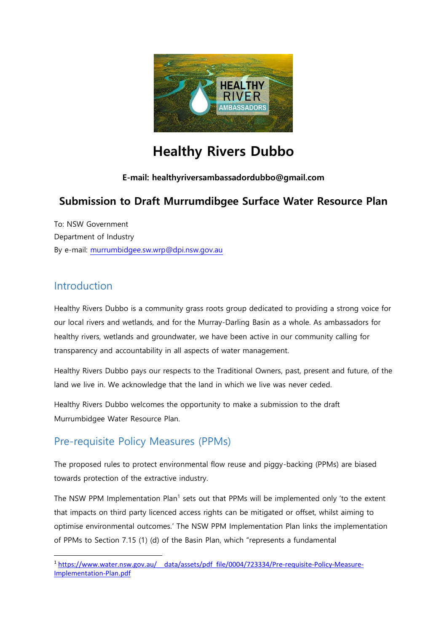

# **Healthy Rivers Dubbo**

#### **E-mail: healthyriversambassadordubbo@gmail.com**

# **Submission to Draft Murrumdibgee Surface Water Resource Plan**

To: NSW Government Department of Industry By e-mail: [murrumbidgee.sw.wrp@dpi.nsw.gov.au](mailto:murrumbidgee.sw.wrp@dpi.nsw.gov.au)

#### Introduction

Healthy Rivers Dubbo is a community grass roots group dedicated to providing a strong voice for our local rivers and wetlands, and for the Murray-Darling Basin as a whole. As ambassadors for healthy rivers, wetlands and groundwater, we have been active in our community calling for transparency and accountability in all aspects of water management.

Healthy Rivers Dubbo pays our respects to the Traditional Owners, past, present and future, of the land we live in. We acknowledge that the land in which we live was never ceded.

Healthy Rivers Dubbo welcomes the opportunity to make a submission to the draft Murrumbidgee Water Resource Plan.

# Pre-requisite Policy Measures (PPMs)

The proposed rules to protect environmental flow reuse and piggy-backing (PPMs) are biased towards protection of the extractive industry.

The NSW PPM Implementation Plan<sup>1</sup> sets out that PPMs will be implemented only 'to the extent that impacts on third party licenced access rights can be mitigated or offset, whilst aiming to optimise environmental outcomes.' The NSW PPM Implementation Plan links the implementation of PPMs to Section 7.15 (1) (d) of the Basin Plan, which "represents a fundamental

**<sup>.</sup>** <sup>1</sup> [https://www.water.nsw.gov.au/\\_\\_data/assets/pdf\\_file/0004/723334/Pre-requisite-Policy-Measure-](https://www.water.nsw.gov.au/__data/assets/pdf_file/0004/723334/Pre-requisite-Policy-Measure-Implementation-Plan.pdf)[Implementation-Plan.pdf](https://www.water.nsw.gov.au/__data/assets/pdf_file/0004/723334/Pre-requisite-Policy-Measure-Implementation-Plan.pdf)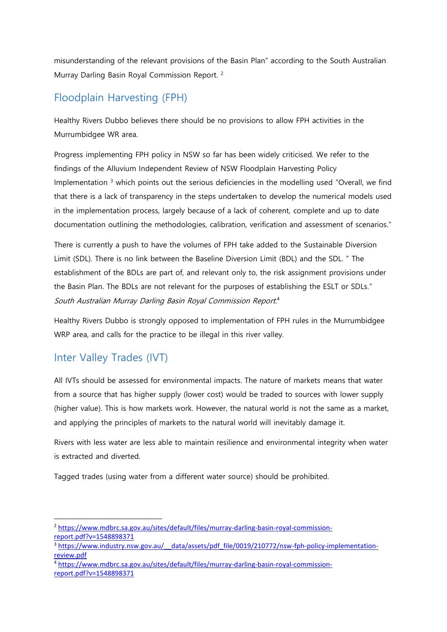misunderstanding of the relevant provisions of the Basin Plan" according to the South Australian Murray Darling Basin Royal Commission Report. <sup>2</sup>

# Floodplain Harvesting (FPH)

Healthy Rivers Dubbo believes there should be no provisions to allow FPH activities in the Murrumbidgee WR area.

Progress implementing FPH policy in NSW so far has been widely criticised. We refer to the findings of the Alluvium Independent Review of NSW Floodplain Harvesting Policy Implementation  $3$  which points out the serious deficiencies in the modelling used "Overall, we find that there is a lack of transparency in the steps undertaken to develop the numerical models used in the implementation process, largely because of a lack of coherent, complete and up to date documentation outlining the methodologies, calibration, verification and assessment of scenarios."

There is currently a push to have the volumes of FPH take added to the Sustainable Diversion Limit (SDL). There is no link between the Baseline Diversion Limit (BDL) and the SDL. " The establishment of the BDLs are part of, and relevant only to, the risk assignment provisions under the Basin Plan. The BDLs are not relevant for the purposes of establishing the ESLT or SDLs." South Australian Murray Darling Basin Royal Commission Report. 4

Healthy Rivers Dubbo is strongly opposed to implementation of FPH rules in the Murrumbidgee WRP area, and calls for the practice to be illegal in this river valley.

# Inter Valley Trades (IVT)

All IVTs should be assessed for environmental impacts. The nature of markets means that water from a source that has higher supply (lower cost) would be traded to sources with lower supply (higher value). This is how markets work. However, the natural world is not the same as a market, and applying the principles of markets to the natural world will inevitably damage it.

Rivers with less water are less able to maintain resilience and environmental integrity when water is extracted and diverted.

Tagged trades (using water from a different water source) should be prohibited.

**<sup>.</sup>** <sup>2</sup> [https://www.mdbrc.sa.gov.au/sites/default/files/murray-darling-basin-royal-commission](https://www.mdbrc.sa.gov.au/sites/default/files/murray-darling-basin-royal-commission-report.pdf?v=1548898371)[report.pdf?v=1548898371](https://www.mdbrc.sa.gov.au/sites/default/files/murray-darling-basin-royal-commission-report.pdf?v=1548898371)

<sup>&</sup>lt;sup>3</sup> https://www.industry.nsw.gov.au/ data/assets/pdf file/0019/210772/nsw-fph-policy-implementation[review.pdf](https://www.industry.nsw.gov.au/__data/assets/pdf_file/0019/210772/nsw-fph-policy-implementation-review.pdf)

<sup>4</sup> [https://www.mdbrc.sa.gov.au/sites/default/files/murray-darling-basin-royal-commission](https://www.mdbrc.sa.gov.au/sites/default/files/murray-darling-basin-royal-commission-report.pdf?v=1548898371)[report.pdf?v=1548898371](https://www.mdbrc.sa.gov.au/sites/default/files/murray-darling-basin-royal-commission-report.pdf?v=1548898371)